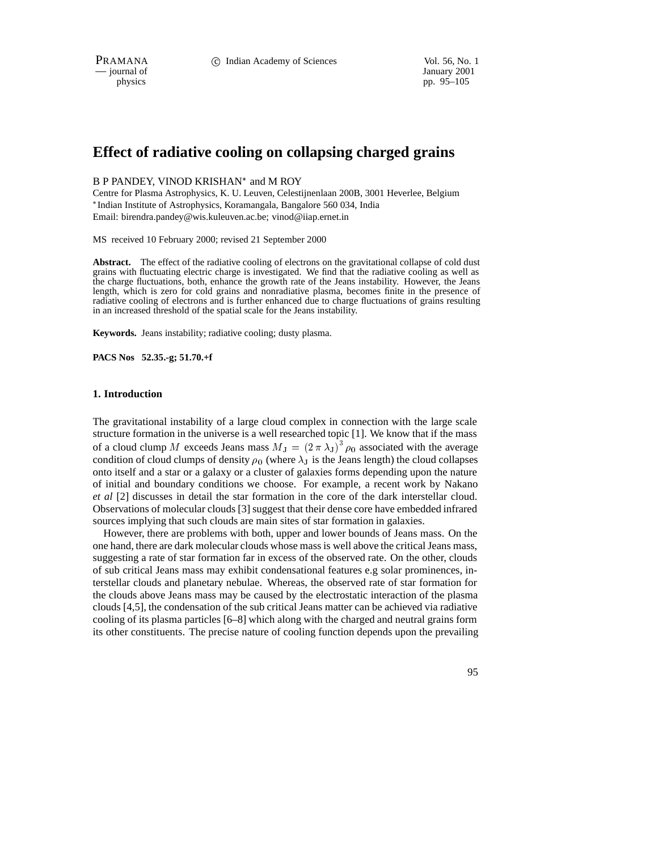January 2001 physics pp. 95–105

# **Effect of radiative cooling on collapsing charged grains**

#### B P PANDEY, VINOD KRISHAN<sup>\*</sup> and M ROY

Centre for Plasma Astrophysics, K. U. Leuven, Celestijnenlaan 200B, 3001 Heverlee, Belgium Indian Institute of Astrophysics, Koramangala, Bangalore 560 034, India Email: birendra.pandey@wis.kuleuven.ac.be; vinod@iiap.ernet.in

MS received 10 February 2000; revised 21 September 2000

**Abstract.** The effect of the radiative cooling of electrons on the gravitational collapse of cold dust grains with fluctuating electric charge is investigated. We find that the radiative cooling as well as the charge fluctuations, both, enhance the growth rate of the Jeans instability. However, the Jeans length, which is zero for cold grains and nonradiative plasma, becomes finite in the presence of radiative cooling of electrons and is further enhanced due to charge fluctuations of grains resulting in an increased threshold of the spatial scale for the Jeans instability.

**Keywords.** Jeans instability; radiative cooling; dusty plasma.

**PACS Nos 52.35.-g; 51.70.+f**

#### **1. Introduction**

The gravitational instability of a large cloud complex in connection with the large scale structure formation in the universe is a well researched topic [1]. We know that if the mass of a cloud clump M exceeds Jeans mass  $M_J = (2 \pi \lambda_J)^3 \rho_0$  associated with the average condition of cloud clumps of density  $\rho_0$  (where  $\lambda_J$  is the Jeans length) the cloud collapses onto itself and a star or a galaxy or a cluster of galaxies forms depending upon the nature of initial and boundary conditions we choose. For example, a recent work by Nakano *et al* [2] discusses in detail the star formation in the core of the dark interstellar cloud. Observations of molecular clouds [3] suggest that their dense core have embedded infrared sources implying that such clouds are main sites of star formation in galaxies.

However, there are problems with both, upper and lower bounds of Jeans mass. On the one hand, there are dark molecular clouds whose mass is well above the critical Jeans mass, suggesting a rate of star formation far in excess of the observed rate. On the other, clouds of sub critical Jeans mass may exhibit condensational features e.g solar prominences, interstellar clouds and planetary nebulae. Whereas, the observed rate of star formation for the clouds above Jeans mass may be caused by the electrostatic interaction of the plasma clouds [4,5], the condensation of the sub critical Jeans matter can be achieved via radiative cooling of its plasma particles [6–8] which along with the charged and neutral grains form its other constituents. The precise nature of cooling function depends upon the prevailing

95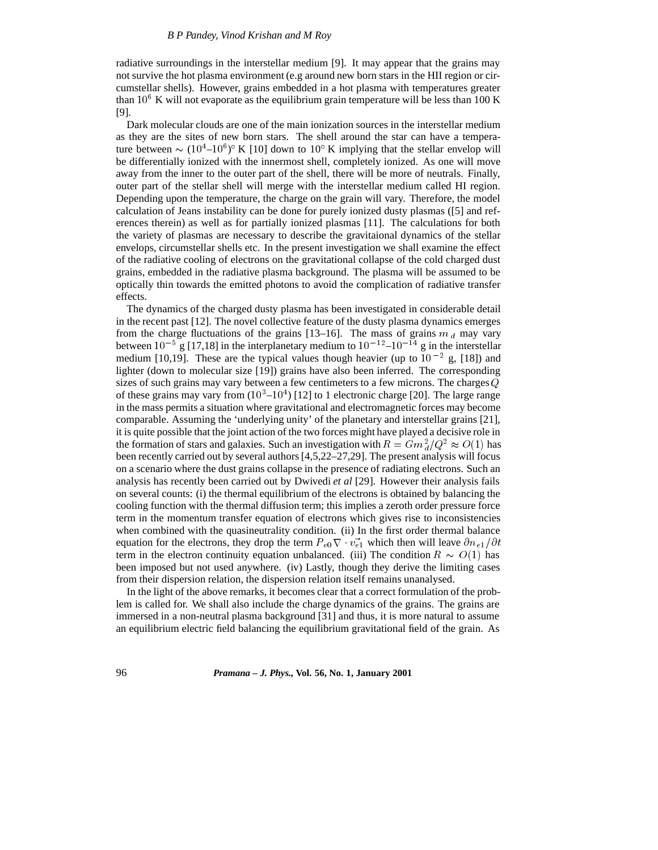radiative surroundings in the interstellar medium [9]. It may appear that the grains may not survive the hot plasma environment (e.g around new born stars in the HII region or circumstellar shells). However, grains embedded in a hot plasma with temperatures greater than  $10<sup>6</sup>$  K will not evaporate as the equilibrium grain temperature will be less than 100 K [9].

Dark molecular clouds are one of the main ionization sources in the interstellar medium as they are the sites of new born stars. The shell around the star can have a temperature between  $\sim (10^4 - 10^6)^{\circ}$  K [10] down to 10<sup>o</sup> K implying that the stellar envelop will be differentially ionized with the innermost shell, completely ionized. As one will move away from the inner to the outer part of the shell, there will be more of neutrals. Finally, outer part of the stellar shell will merge with the interstellar medium called HI region. Depending upon the temperature, the charge on the grain will vary. Therefore, the model calculation of Jeans instability can be done for purely ionized dusty plasmas ([5] and references therein) as well as for partially ionized plasmas [11]. The calculations for both the variety of plasmas are necessary to describe the gravitaional dynamics of the stellar envelops, circumstellar shells etc. In the present investigation we shall examine the effect of the radiative cooling of electrons on the gravitational collapse of the cold charged dust grains, embedded in the radiative plasma background. The plasma will be assumed to be optically thin towards the emitted photons to avoid the complication of radiative transfer effects.

The dynamics of the charged dusty plasma has been investigated in considerable detail in the recent past [12]. The novel collective feature of the dusty plasma dynamics emerges from the charge fluctuations of the grains [13–16]. The mass of grains  $m_d$  may vary between  $10^{-5}$  g [17,18] in the interplanetary medium to  $10^{-12}$ – $10^{-14}$  g in the interstellar medium [10,19]. These are the typical values though heavier (up to  $10^{-2}$  g, [18]) and lighter (down to molecular size [19]) grains have also been inferred. The corresponding sizes of such grains may vary between a few centimeters to a few microns. The charges  $Q$ of these grains may vary from  $(10^3-10^4)$  [12] to 1 electronic charge [20]. The large range in the mass permits a situation where gravitational and electromagnetic forces may become comparable. Assuming the 'underlying unity' of the planetary and interstellar grains [21], it is quite possible that the joint action of the two forces might have played a decisive role in the formation of stars and galaxies. Such an investigation with  $R = Gm_d^2/Q^2 \approx O(1)$  has been recently carried out by several authors [4,5,22–27,29]. The present analysis will focus on a scenario where the dust grains collapse in the presence of radiating electrons. Such an analysis has recently been carried out by Dwivedi *et al* [29]. However their analysis fails on several counts: (i) the thermal equilibrium of the electrons is obtained by balancing the cooling function with the thermal diffusion term; this implies a zeroth order pressure force term in the momentum transfer equation of electrons which gives rise to inconsistencies when combined with the quasineutrality condition. (ii) In the first order thermal balance equation for the electrons, they drop the term  $P_{e0} \nabla \cdot v_{e1}^2$  which then will leave  $\partial n_{e1}/\partial t$ term in the electron continuity equation unbalanced. (iii) The condition  $R \sim O(1)$  has been imposed but not used anywhere. (iv) Lastly, though they derive the limiting cases from their dispersion relation, the dispersion relation itself remains unanalysed.

In the light of the above remarks, it becomes clear that a correct formulation of the problem is called for. We shall also include the charge dynamics of the grains. The grains are immersed in a non-neutral plasma background [31] and thus, it is more natural to assume an equilibrium electric field balancing the equilibrium gravitational field of the grain. As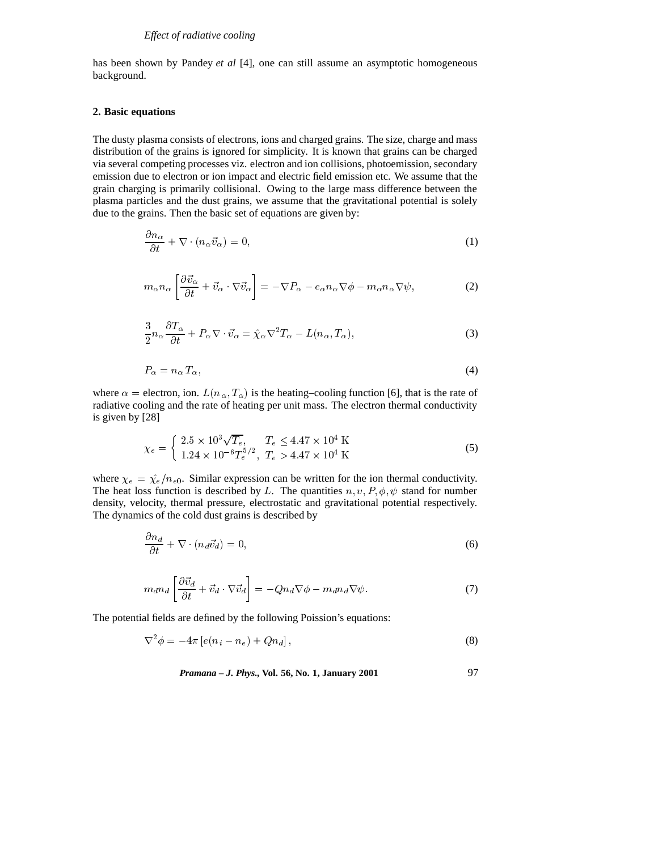has been shown by Pandey *et al* [4], one can still assume an asymptotic homogeneous background.

### **2. Basic equations**

The dusty plasma consists of electrons, ions and charged grains. The size, charge and mass distribution of the grains is ignored for simplicity. It is known that grains can be charged via several competing processes viz. electron and ion collisions, photoemission, secondary emission due to electron or ion impact and electric field emission etc. We assume that the grain charging is primarily collisional. Owing to the large mass difference between the plasma particles and the dust grains, we assume that the gravitational potential is solely due to the grains. Then the basic set of equations are given by:

$$
\frac{\partial n_{\alpha}}{\partial t} + \nabla \cdot (n_{\alpha} \vec{v}_{\alpha}) = 0, \qquad (1)
$$

$$
m_{\alpha}n_{\alpha}\left[\frac{\partial \vec{v}_{\alpha}}{\partial t} + \vec{v}_{\alpha} \cdot \nabla \vec{v}_{\alpha}\right] = -\nabla P_{\alpha} - e_{\alpha}n_{\alpha}\nabla \phi - m_{\alpha}n_{\alpha}\nabla \psi,
$$
\n(2)

$$
\frac{3}{2}n_{\alpha}\frac{\partial T_{\alpha}}{\partial t} + P_{\alpha}\nabla \cdot \vec{v}_{\alpha} = \hat{\chi}_{\alpha}\nabla^2 T_{\alpha} - L(n_{\alpha}, T_{\alpha}),\tag{3}
$$

$$
P_{\alpha} = n_{\alpha} T_{\alpha},\tag{4}
$$

where  $\alpha$  = electron, ion.  $L(n_{\alpha}, T_{\alpha})$  is the heating–cooling function [6], that is the rate of radiative cooling and the rate of heating per unit mass. The electron thermal conductivity is given by [28]

$$
\chi_e = \begin{cases} 2.5 \times 10^3 \sqrt{T_e}, & T_e \le 4.47 \times 10^4 \text{ K} \\ 1.24 \times 10^{-6} T_e^{5/2}, & T_e > 4.47 \times 10^4 \text{ K} \end{cases}
$$
(5)

where  $\chi_e = \hat{\chi}_e/n_{e0}$ . Similar expression can be written for the ion thermal conductivity. The heat loss function is described by L. The quantities  $n, v, P, \phi, \psi$  stand for number density, velocity, thermal pressure, electrostatic and gravitational potential respectively. The dynamics of the cold dust grains is described by

$$
\frac{\partial n_d}{\partial t} + \nabla \cdot (n_d \vec{v}_d) = 0,\tag{6}
$$

$$
m_d n_d \left[ \frac{\partial \vec{v}_d}{\partial t} + \vec{v}_d \cdot \nabla \vec{v}_d \right] = -Q n_d \nabla \phi - m_d n_d \nabla \psi. \tag{7}
$$

The potential fields are defined by the following Poission's equations:

$$
\nabla^2 \phi = -4\pi \left[ e(n_i - n_e) + Qn_d \right],\tag{8}
$$

*Pramana – J. Phys.,* **Vol. 56, No. 1, January 2001** 97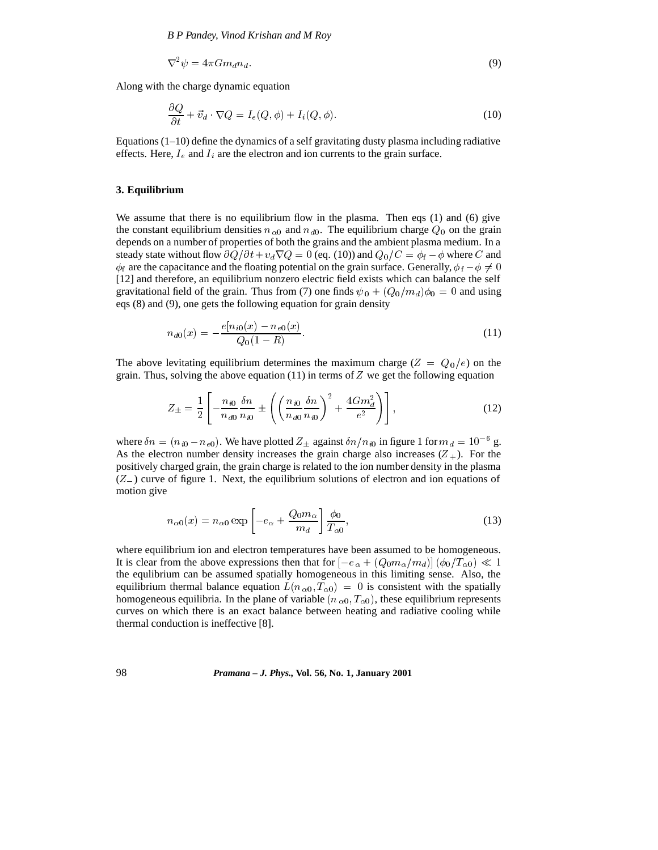$$
\nabla^2 \psi = 4\pi G m_d n_d. \tag{9}
$$

Along with the charge dynamic equation

$$
\frac{\partial Q}{\partial t} + \vec{v}_d \cdot \nabla Q = I_e(Q, \phi) + I_i(Q, \phi).
$$
\n(10)

Equations  $(1-10)$  define the dynamics of a self gravitating dusty plasma including radiative effects. Here,  $I_e$  and  $I_i$  are the electron and ion currents to the grain surface.

### **3. Equilibrium**

We assume that there is no equilibrium flow in the plasma. Then eqs (1) and (6) give the constant equilibrium densities  $n_{\alpha0}$  and  $n_{d0}$ . The equilibrium charge  $Q_0$  on the grain depends on a number of properties of both the grains and the ambient plasma medium. In a steady state without flow  $\partial Q/\partial t + v_d \nabla Q = 0$  (eq. (10)) and  $Q_0/C = \phi_f - \phi$  where C and  $\phi_f$  are the capacitance and the floating potential on the grain surface. Generally,  $\phi_f - \phi \neq 0$ [12] and therefore, an equilibrium nonzero electric field exists which can balance the self gravitational field of the grain. Thus from (7) one finds  $\psi_0 + (Q_0/m_d)\phi_0 = 0$  and using eqs (8) and (9), one gets the following equation for grain density

$$
n_{d0}(x) = -\frac{e[n_{i0}(x) - n_{e0}(x)]}{Q_0(1 - R)}.
$$
\n(11)

The above levitating equilibrium determines the maximum charge ( $Z = Q_0/e$ ) on the grain. Thus, solving the above equation (11) in terms of  $Z$  we get the following equation

$$
Z_{\pm} = \frac{1}{2} \left[ -\frac{n_{i0}}{n_{d0}} \frac{\delta n}{n_{i0}} \pm \left( \left( \frac{n_{i0}}{n_{d0}} \frac{\delta n}{n_{i0}} \right)^2 + \frac{4Gm_d^2}{e^2} \right) \right],
$$
 (12)

where  $\delta n = (n_{i0} - n_{e0})$ . We have plotted  $Z_{\pm}$  against  $\delta n/n_{i0}$  in figure 1 for  $m_d = 10^{-6}$  g. As the electron number density increases the grain charge also increases  $(Z_{+})$ . For the positively charged grain, the grain charge is related to the ion number density in the plasma  $(Z_{-})$  curve of figure 1. Next, the equilibrium solutions of electron and ion equations of motion give

$$
n_{\alpha 0}(x) = n_{\alpha 0} \exp\left[-e_{\alpha} + \frac{Q_0 m_{\alpha}}{m_d}\right] \frac{\phi_0}{T_{\alpha 0}},\tag{13}
$$

where equilibrium ion and electron temperatures have been assumed to be homogeneous. It is clear from the above expressions then that for  $[-e_{\alpha} + (Q_0 m_{\alpha}/m_d)] (\phi_0/T_{\alpha 0}) \ll 1$ the equlibrium can be assumed spatially homogeneous in this limiting sense. Also, the equilibrium thermal balance equation  $L(n_{\alpha0}, T_{\alpha0}) = 0$  is consistent with the spatially homogeneous equilibria. In the plane of variable  $(n_{\alpha 0}, T_{\alpha 0})$ , these equilibrium represents curves on which there is an exact balance between heating and radiative cooling while thermal conduction is ineffective [8].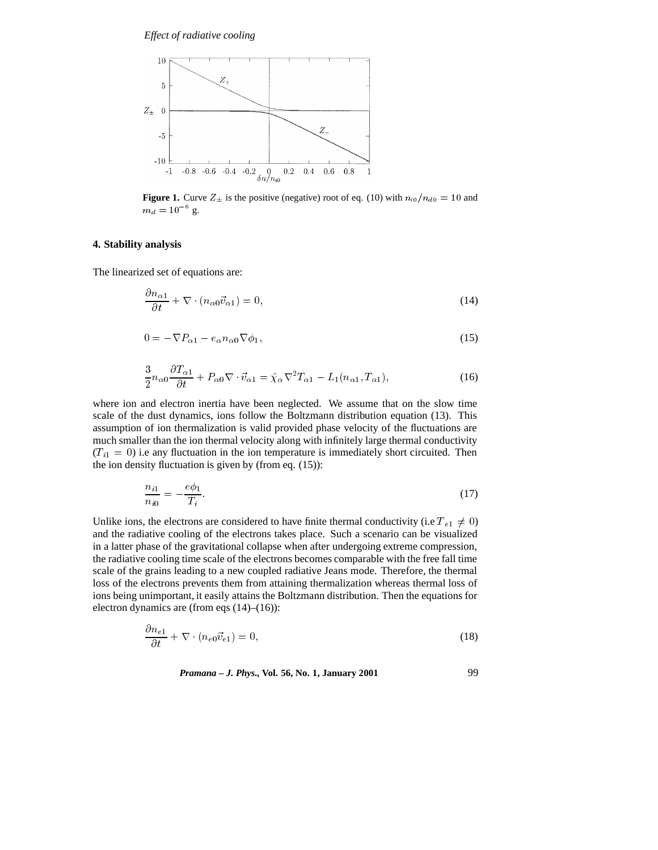

**Figure 1.** Curve  $Z_{\pm}$  is the positive (negative) root of eq. (10) with  $n_{i0}/n_{d0} = 10$  and  $m_d = 10^{-6}$  g.

# **4. Stability analysis**

The linearized set of equations are:

$$
\frac{\partial n_{\alpha 1}}{\partial t} + \nabla \cdot (n_{\alpha 0} \vec{v}_{\alpha 1}) = 0, \tag{14}
$$

$$
0 = -\nabla P_{\alpha 1} - e_{\alpha} n_{\alpha 0} \nabla \phi_1, \tag{15}
$$

$$
\frac{3}{2}n_{\alpha 0}\frac{\partial T_{\alpha 1}}{\partial t} + P_{\alpha 0}\nabla \cdot \vec{v}_{\alpha 1} = \hat{\chi}_{\alpha}\nabla^2 T_{\alpha 1} - L_1(n_{\alpha 1}, T_{\alpha 1}),\tag{16}
$$

where ion and electron inertia have been neglected. We assume that on the slow time scale of the dust dynamics, ions follow the Boltzmann distribution equation (13). This assumption of ion thermalization is valid provided phase velocity of the fluctuations are much smaller than the ion thermal velocity along with infinitely large thermal conductivity  $(T_{i1} = 0)$  i.e any fluctuation in the ion temperature is immediately short circuited. Then the ion density fluctuation is given by (from eq. (15)):

$$
\frac{n_{i1}}{n_{i0}} = -\frac{e\phi_1}{T_i}.\tag{17}
$$

Unlike ions, the electrons are considered to have finite thermal conductivity (i.e  $T_{e1} \neq 0$ ) and the radiative cooling of the electrons takes place. Such a scenario can be visualized in a latter phase of the gravitational collapse when after undergoing extreme compression, the radiative cooling time scale of the electrons becomes comparable with the free fall time scale of the grains leading to a new coupled radiative Jeans mode. Therefore, the thermal loss of the electrons prevents them from attaining thermalization whereas thermal loss of ions being unimportant, it easily attains the Boltzmann distribution. Then the equations for electron dynamics are (from eqs (14)–(16)):

$$
\frac{\partial n_{e1}}{\partial t} + \nabla \cdot (n_{e0} \vec{v}_{e1}) = 0,\t\t(18)
$$

*Pramana – J. Phys.,* **Vol. 56, No. 1, January 2001** 99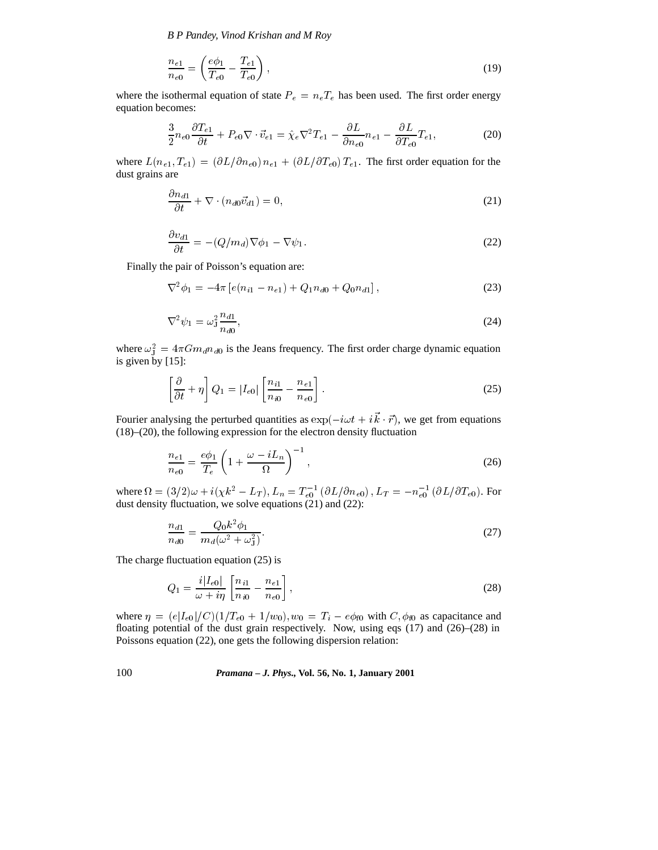*B P Pandey, Vinod Krishan and M Roy*

$$
\frac{n_{e1}}{n_{e0}} = \left(\frac{e\phi_1}{T_{e0}} - \frac{T_{e1}}{T_{e0}}\right),\tag{19}
$$

where the isothermal equation of state  $P_e = n_e T_e$  has been used. The first order energy equation becomes:

$$
\frac{3}{2}n_{e0}\frac{\partial T_{e1}}{\partial t} + P_{e0}\nabla \cdot \vec{v}_{e1} = \hat{\chi}_e \nabla^2 T_{e1} - \frac{\partial L}{\partial n_{e0}}n_{e1} - \frac{\partial L}{\partial T_{e0}}T_{e1},\tag{20}
$$

where  $L(n_{e1}, T_{e1}) = (\partial L/\partial n_{e0}) n_{e1} + (\partial L/\partial T_{e0}) T_{e1}$ . The first order equation for the dust grains are

$$
\frac{\partial n_{d1}}{\partial t} + \nabla \cdot (n_{d0} \vec{v}_{d1}) = 0, \tag{21}
$$

$$
\frac{\partial v_{d1}}{\partial t} = -(Q/m_d)\nabla \phi_1 - \nabla \psi_1.
$$
\n(22)

Finally the pair of Poisson's equation are:

$$
\nabla^2 \phi_1 = -4\pi \left[ e(n_{i1} - n_{e1}) + Q_1 n_{d0} + Q_0 n_{d1} \right],\tag{23}
$$

$$
\nabla^2 \psi_1 = \omega_1^2 \frac{n_{d1}}{n_{d0}},\tag{24}
$$

where  $\omega_j^2 = 4\pi G m_d n_{d0}$  is the Jeans frequency. The first order charge dynamic equation is given by [15]:

$$
\left[\frac{\partial}{\partial t} + \eta\right] Q_1 = |I_{e0}| \left[\frac{n_{i1}}{n_{i0}} - \frac{n_{e1}}{n_{e0}}\right].
$$
\n(25)

Fourier analysing the perturbed quantities as  $\exp(-i\omega t + i\vec{k} \cdot \vec{r})$ , we get from equations (18)–(20), the following expression for the electron density fluctuation

$$
\frac{n_{e1}}{n_{e0}} = \frac{e\phi_1}{T_e} \left( 1 + \frac{\omega - iL_n}{\Omega} \right)^{-1},\tag{26}
$$

where  $\Omega = (3/2)\omega + i(\chi k^2 - L_T), L_n = T_{e0}^{-1} (\partial L/\partial n_{e0}), L_T = -n_{e0}^{-1} (\partial L/\partial T_{e0}).$  For dust density fluctuation, we solve equations (21) and (22):

$$
\frac{n_{d1}}{n_{d0}} = \frac{Q_0 k^2 \phi_1}{m_d(\omega^2 + \omega_1^2)}.
$$
\n(27)

The charge fluctuation equation (25) is

$$
Q_1 = \frac{i|I_{e0}|}{\omega + i\eta} \left[ \frac{n_{i1}}{n_{i0}} - \frac{n_{e1}}{n_{e0}} \right],
$$
 (28)

where  $\eta = (e|I_{e0}|/C)(1/T_{e0} + 1/w_0), w_0 = T_i - e\phi_{f0}$  with  $C, \phi_{f0}$  as capacitance and floating potential of the dust grain respectively. Now, using eqs  $(17)$  and  $(26)$ – $(28)$  in Poissons equation (22), one gets the following dispersion relation: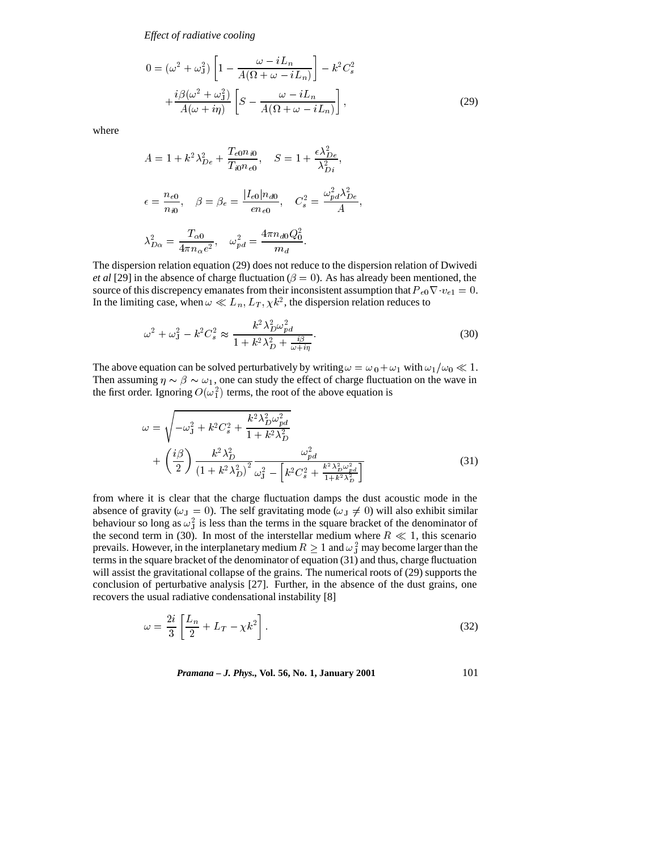*Effect of radiative cooling*

$$
0 = (\omega^2 + \omega_1^2) \left[ 1 - \frac{\omega - iL_n}{A(\Omega + \omega - iL_n)} \right] - k^2 C_s^2
$$

$$
+ \frac{i\beta(\omega^2 + \omega_1^2)}{A(\omega + i\eta)} \left[ S - \frac{\omega - iL_n}{A(\Omega + \omega - iL_n)} \right],
$$
(29)

where

$$
A = 1 + k^2 \lambda_{De}^2 + \frac{T_{e0} n_{i0}}{T_{i0} n_{e0}}, \quad S = 1 + \frac{\epsilon \lambda_{De}^2}{\lambda_{Di}^2},
$$
  

$$
\epsilon = \frac{n_{e0}}{n_{i0}}, \quad \beta = \beta_e = \frac{|I_{e0}| n_{d0}}{e n_{e0}}, \quad C_s^2 = \frac{\omega_{pd}^2 \lambda_{De}^2}{A},
$$
  

$$
\lambda_{Do}^2 = \frac{T_{\alpha 0}}{4 \pi n_{\alpha} e^2}, \quad \omega_{pd}^2 = \frac{4 \pi n_{d0} Q_0^2}{m_d}.
$$

The dispersion relation equation (29) does not reduce to the dispersion relation of Dwivedi *et al* [29] in the absence of charge fluctuation ( $\beta = 0$ ). As has already been mentioned, the source of this discrepency emanates from their inconsistent assumption that  $P_{e0} \nabla \cdot v_{e1} = 0$ . In the limiting case, when  $\omega \ll L_n, L_T, \chi k^2$ , the dispersion relation reduces to

$$
\omega^2 + \omega_1^2 - k^2 C_s^2 \approx \frac{k^2 \lambda_D^2 \omega_{pd}^2}{1 + k^2 \lambda_D^2 + \frac{i\beta}{\omega + i\eta}}.\tag{30}
$$

The above equation can be solved perturbatively by writing  $\omega = \omega_0 + \omega_1$  with  $\omega_1/\omega_0 \ll 1$ . Then assuming  $\eta \sim \beta \sim \omega_1$ , one can study the effect of charge fluctuation on the wave in the first order. Ignoring  $O(\omega_1^2)$  terms, the root of the above equation is

$$
\omega = \sqrt{-\omega_1^2 + k^2 C_s^2 + \frac{k^2 \lambda_D^2 \omega_{pd}^2}{1 + k^2 \lambda_D^2}}
$$
  
+ 
$$
\left(\frac{i\beta}{2}\right) \frac{k^2 \lambda_D^2}{\left(1 + k^2 \lambda_D^2\right)^2} \frac{\omega_{pd}^2}{\omega_J^2 - \left[k^2 C_s^2 + \frac{k^2 \lambda_D^2 \omega_{pd}^2}{1 + k^2 \lambda_D^2}\right]}
$$
(31)

from where it is clear that the charge fluctuation damps the dust acoustic mode in the absence of gravity ( $\omega_J = 0$ ). The self gravitating mode ( $\omega_J \neq 0$ ) will also exhibit similar behaviour so long as  $\omega_j^2$  is less than the terms in the square bracket of the denominator of the second term in (30). In most of the interstellar medium where  $R \ll 1$ , this scenario prevails. However, in the interplanetary medium  $R \geq 1$  and  $\omega_{\rm J}^2$  may become larger than the terms in the square bracket of the denominator of equation (31) and thus, charge fluctuation will assist the gravitational collapse of the grains. The numerical roots of (29) supports the conclusion of perturbative analysis [27]. Further, in the absence of the dust grains, one recovers the usual radiative condensational instability [8]

$$
\omega = \frac{2i}{3} \left[ \frac{L_n}{2} + L_T - \chi k^2 \right].
$$
\n(32)

*Pramana – J. Phys.,* **Vol. 56, No. 1, January 2001** 101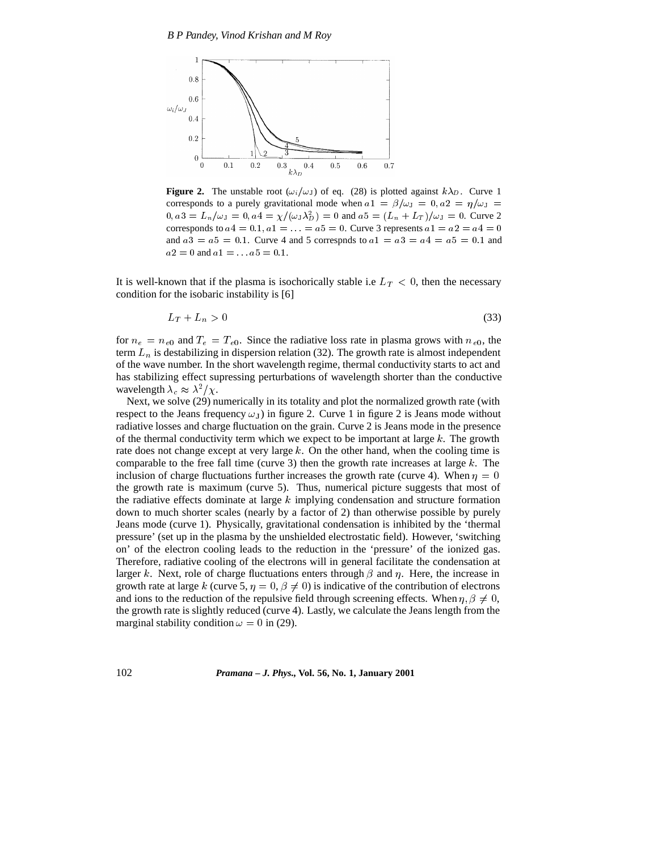

**Figure 2.** The unstable root  $(\omega_i/\omega_j)$  of eq. (28) is plotted against  $k\lambda_D$ . Curve 1 corresponds to a purely gravitational mode when  $a1 = \beta/\omega_J = 0, a2 = \eta/\omega_J =$  $0, a3 = L_n/\omega_J = 0, a4 = \chi/(\omega_J\lambda_D^2) = 0$  and  $a5 = (L_n + L_T)/\omega_J = 0$ . Curve 2 corresponds to  $a4 = 0.1$ ,  $a1 = \ldots = a5 = 0$ . Curve 3 represents  $a1 = a2 = a4 = 0$ and  $a3 = a5 = 0.1$ . Curve 4 and 5 correspnds to  $a1 = a3 = a4 = a5 = 0.1$  and  $a2 = 0$  and  $a1 = ... a5 = 0.1$ .

It is well-known that if the plasma is isochorically stable i.e  $L_T < 0$ , then the necessary condition for the isobaric instability is [6]

$$
L_T + L_n > 0 \tag{33}
$$

for  $n_e = n_{e0}$  and  $T_e = T_{e0}$ . Since the radiative loss rate in plasma grows with  $n_{e0}$ , the term  $L_n$  is destabilizing in dispersion relation (32). The growth rate is almost independent of the wave number. In the short wavelength regime, thermal conductivity starts to act and has stabilizing effect supressing perturbations of wavelength shorter than the conductive wavelength  $\lambda_c \approx \lambda^2/\chi$ .

Next, we solve (29) numerically in its totality and plot the normalized growth rate (with respect to the Jeans frequency  $\omega_J$ ) in figure 2. Curve 1 in figure 2 is Jeans mode without radiative losses and charge fluctuation on the grain. Curve 2 is Jeans mode in the presence of the thermal conductivity term which we expect to be important at large  $k$ . The growth rate does not change except at very large  $k$ . On the other hand, when the cooling time is comparable to the free fall time (curve 3) then the growth rate increases at large  $k$ . The inclusion of charge fluctuations further increases the growth rate (curve 4). When  $\eta = 0$ the growth rate is maximum (curve 5). Thus, numerical picture suggests that most of the radiative effects dominate at large  $k$  implying condensation and structure formation down to much shorter scales (nearly by a factor of 2) than otherwise possible by purely Jeans mode (curve 1). Physically, gravitational condensation is inhibited by the 'thermal pressure' (set up in the plasma by the unshielded electrostatic field). However, 'switching on' of the electron cooling leads to the reduction in the 'pressure' of the ionized gas. Therefore, radiative cooling of the electrons will in general facilitate the condensation at larger k. Next, role of charge fluctuations enters through  $\beta$  and  $\eta$ . Here, the increase in growth rate at large k (curve 5,  $\eta = 0$ ,  $\beta \neq 0$ ) is indicative of the contribution of electrons and ions to the reduction of the repulsive field through screening effects. When  $\eta, \beta \neq 0$ , the growth rate is slightly reduced (curve 4). Lastly, we calculate the Jeans length from the marginal stability condition  $\omega = 0$  in (29).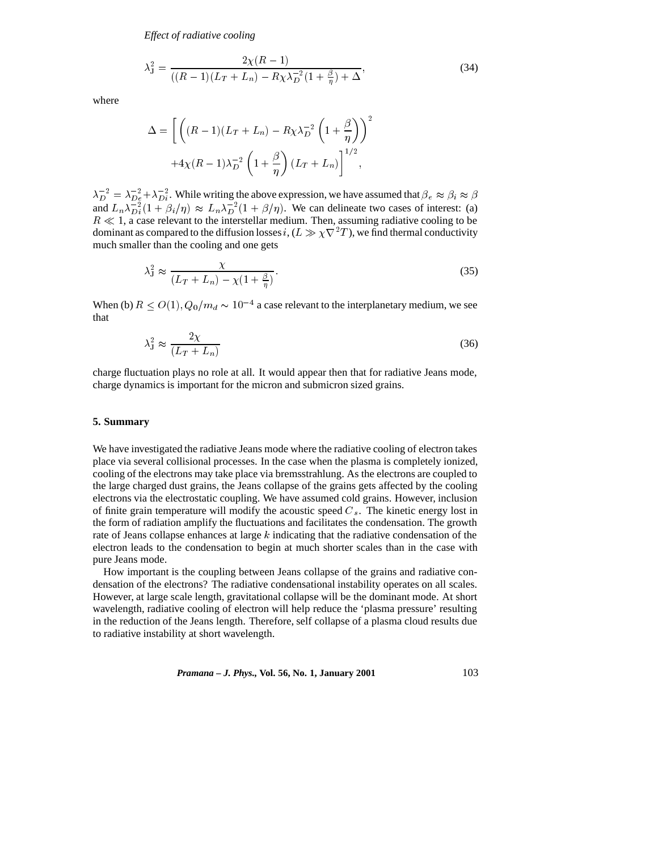*Effect of radiative cooling*

$$
\lambda_{\rm J}^2 = \frac{2\chi(R-1)}{((R-1)(L_T + L_n) - R\chi\lambda_D^{-2}(1 + \frac{\beta}{\eta}) + \Delta},\tag{34}
$$

where

$$
\Delta = \left[ \left( (R - 1)(L_T + L_n) - R\chi \lambda_D^{-2} \left( 1 + \frac{\beta}{\eta} \right) \right)^2 + 4\chi (R - 1)\lambda_D^{-2} \left( 1 + \frac{\beta}{\eta} \right) (L_T + L_n) \right]^{1/2},
$$

 $\lambda_D^{-2} = \lambda_{De}^{-2} + \lambda_{Di}^{-2}$ . While writing the above expression, we have assumed that  $\beta_e \approx \beta_i \approx \beta$ and  $L_n \lambda_{Di}^{-2} (1 + \beta_i / \eta) \approx L_n \lambda_D^{-2} (1 + \beta / \eta)$ . We can delineate two cases of interest: (a)  $R \ll 1$ , a case relevant to the interstellar medium. Then, assuming radiative cooling to be dominant as compared to the diffusion losses  $i$ ,  $(L \gg \chi \nabla^2 T)$ , we find thermal conductivity much smaller than the cooling and one gets

$$
\lambda_{\mathrm{J}}^2 \approx \frac{\chi}{(L_T + L_n) - \chi(1 + \frac{\beta}{\eta})}.\tag{35}
$$

When (b)  $R \leq O(1), Q_0/m_d \sim 10^{-4}$  a case relevant to the interplanetary medium, we see that

$$
\lambda_{\rm J}^2 \approx \frac{2\chi}{(L_T + L_n)}\tag{36}
$$

charge fluctuation plays no role at all. It would appear then that for radiative Jeans mode, charge dynamics is important for the micron and submicron sized grains.

#### **5. Summary**

We have investigated the radiative Jeans mode where the radiative cooling of electron takes place via several collisional processes. In the case when the plasma is completely ionized, cooling of the electrons may take place via bremsstrahlung. As the electrons are coupled to the large charged dust grains, the Jeans collapse of the grains gets affected by the cooling electrons via the electrostatic coupling. We have assumed cold grains. However, inclusion of finite grain temperature will modify the acoustic speed  $C_s$ . The kinetic energy lost in the form of radiation amplify the fluctuations and facilitates the condensation. The growth rate of Jeans collapse enhances at large  $k$  indicating that the radiative condensation of the electron leads to the condensation to begin at much shorter scales than in the case with pure Jeans mode.

How important is the coupling between Jeans collapse of the grains and radiative condensation of the electrons? The radiative condensational instability operates on all scales. However, at large scale length, gravitational collapse will be the dominant mode. At short wavelength, radiative cooling of electron will help reduce the 'plasma pressure' resulting in the reduction of the Jeans length. Therefore, self collapse of a plasma cloud results due to radiative instability at short wavelength.

*Pramana – J. Phys.,* **Vol. 56, No. 1, January 2001** 103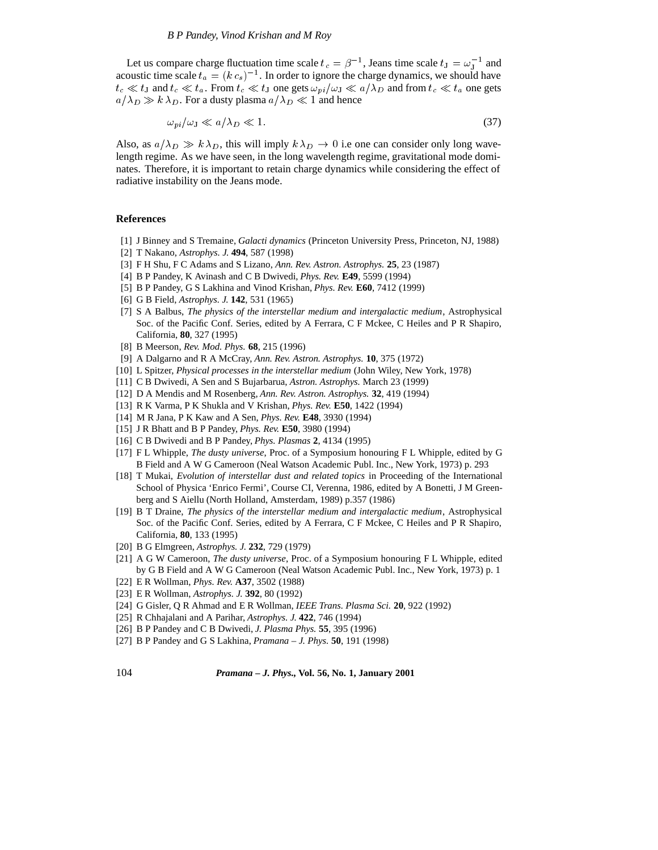Let us compare charge fluctuation time scale  $t_c = \beta^{-1}$ , Jeans time scale  $t_J = \omega_J^{-1}$  and acoustic time scale  $t_a = (k c_s)^{-1}$ . In order to ignore the charge dynamics, we should have  $t_c \ll t_J$  and  $t_c \ll t_a$ . From  $t_c \ll t_J$  one gets  $\omega_{pi}/\omega_J \ll a/\lambda_D$  and from  $t_c \ll t_a$  one gets  $a/\lambda_D \gg k \lambda_D$ . For a dusty plasma  $a/\lambda_D \ll 1$  and hence

$$
\omega_{pi}/\omega_{J} \ll a/\lambda_{D} \ll 1. \tag{37}
$$

Also, as  $a/\lambda_D \gg k \lambda_D$ , this will imply  $k \lambda_D \to 0$  i.e one can consider only long wavelength regime. As we have seen, in the long wavelength regime, gravitational mode dominates. Therefore, it is important to retain charge dynamics while considering the effect of radiative instability on the Jeans mode.

#### **References**

- [1] J Binney and S Tremaine, *Galacti dynamics* (Princeton University Press, Princeton, NJ, 1988)
- [2] T Nakano, *Astrophys. J.* **494**, 587 (1998)
- [3] F H Shu, F C Adams and S Lizano, *Ann. Rev. Astron. Astrophys.* **25**, 23 (1987)
- [4] B P Pandey, K Avinash and C B Dwivedi, *Phys. Rev.* **E49**, 5599 (1994)
- [5] B P Pandey, G S Lakhina and Vinod Krishan, *Phys. Rev.* **E60**, 7412 (1999)
- [6] G B Field, *Astrophys. J.* **142**, 531 (1965)
- [7] S A Balbus, *The physics of the interstellar medium and intergalactic medium*, Astrophysical Soc. of the Pacific Conf. Series, edited by A Ferrara, C F Mckee, C Heiles and P R Shapiro, California, **80**, 327 (1995)
- [8] B Meerson, *Rev. Mod. Phys.* **68**, 215 (1996)
- [9] A Dalgarno and R A McCray, *Ann. Rev. Astron. Astrophys.* **10**, 375 (1972)
- [10] L Spitzer, *Physical processes in the interstellar medium* (John Wiley, New York, 1978)
- [11] C B Dwivedi, A Sen and S Bujarbarua, *Astron. Astrophys.* March 23 (1999)
- [12] D A Mendis and M Rosenberg, *Ann. Rev. Astron. Astrophys.* **32**, 419 (1994)
- [13] R K Varma, P K Shukla and V Krishan, *Phys. Rev.* **E50**, 1422 (1994)
- [14] M R Jana, P K Kaw and A Sen, *Phys. Rev.* **E48**, 3930 (1994)
- [15] J R Bhatt and B P Pandey, *Phys. Rev.* **E50**, 3980 (1994)
- [16] C B Dwivedi and B P Pandey, *Phys. Plasmas* **2**, 4134 (1995)
- [17] F L Whipple, *The dusty universe*, Proc. of a Symposium honouring F L Whipple, edited by G B Field and A W G Cameroon (Neal Watson Academic Publ. Inc., New York, 1973) p. 293
- [18] T Mukai, *Evolution of interstellar dust and related topics* in Proceeding of the International School of Physica 'Enrico Fermi', Course CI, Verenna, 1986, edited by A Bonetti, J M Greenberg and S Aiellu (North Holland, Amsterdam, 1989) p.357 (1986)
- [19] B T Draine, *The physics of the interstellar medium and intergalactic medium*, Astrophysical Soc. of the Pacific Conf. Series, edited by A Ferrara, C F Mckee, C Heiles and P R Shapiro, California, **80**, 133 (1995)
- [20] B G Elmgreen, *Astrophys. J.* **232**, 729 (1979)
- [21] A G W Cameroon, *The dusty universe*, Proc. of a Symposium honouring F L Whipple, edited by G B Field and A W G Cameroon (Neal Watson Academic Publ. Inc., New York, 1973) p. 1
- [22] E R Wollman, *Phys. Rev.* **A37**, 3502 (1988)
- [23] E R Wollman, *Astrophys. J.* **392**, 80 (1992)
- [24] G Gisler, Q R Ahmad and E R Wollman, *IEEE Trans. Plasma Sci.* **20**, 922 (1992)
- [25] R Chhajalani and A Parihar, *Astrophys. J.* **422**, 746 (1994)
- [26] B P Pandey and C B Dwivedi, *J. Plasma Phys.* **55**, 395 (1996)
- [27] B P Pandey and G S Lakhina, *Pramana J. Phys.* **50**, 191 (1998)